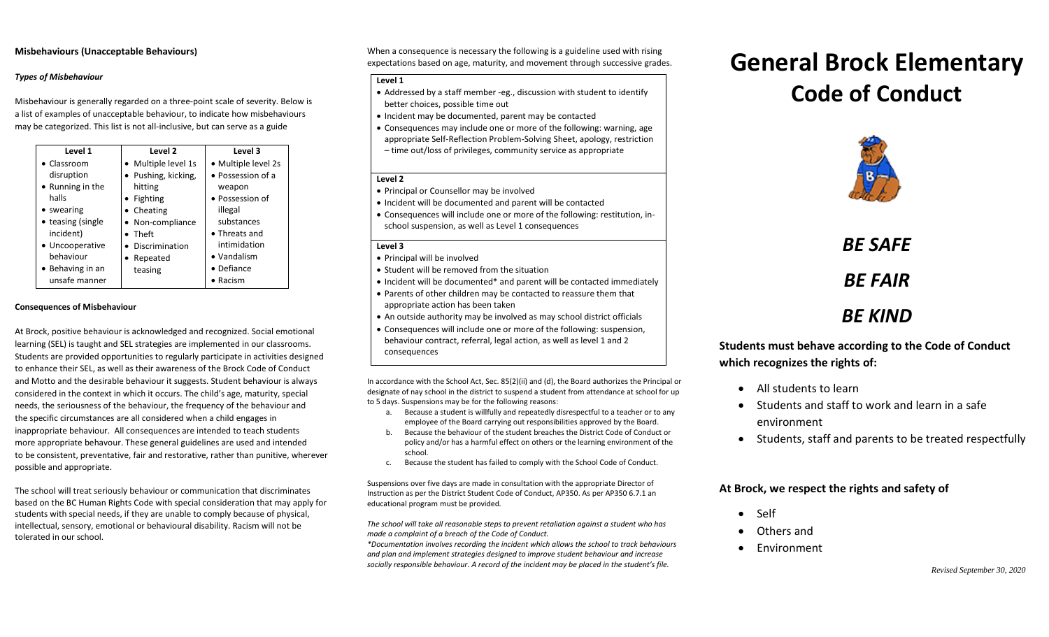## **Misbehaviours (Unacceptable Behaviours)**

## *Types of Misbehaviour*

Misbehaviour is generally regarded on a three-point scale of severity. Below is a list of examples of unacceptable behaviour, to indicate how misbehaviours may be categorized. This list is not all-inclusive, but can serve as a guide

| Level 1             | Level 2             | Level 3               |
|---------------------|---------------------|-----------------------|
| $\bullet$ Classroom | • Multiple level 1s | • Multiple level 2s   |
| disruption          | • Pushing, kicking, | • Possession of a     |
| • Running in the    | hitting             | weapon                |
| halls               | • Fighting          | • Possession of       |
| • swearing          | • Cheating          | illegal               |
| • teasing (single   | • Non-compliance    | substances            |
| incident)           | Theft               | $\bullet$ Threats and |
| • Uncooperative     | Discrimination      | intimidation          |
| behaviour           | Repeated            | • Vandalism           |
| • Behaving in an    | teasing             | • Defiance            |
| unsafe manner       |                     | $\bullet$ Racism      |

### **Consequences of Misbehaviour**

At Brock, positive behaviour is acknowledged and recognized. Social emotional learning (SEL) is taught and SEL strategies are implemented in our classrooms. Students are provided opportunities to regularly participate in activities designed to enhance their SEL, as well as their awareness of the Brock Code of Conduct and Motto and the desirable behaviour it suggests. Student behaviour is always considered in the context in which it occurs. The child's age, maturity, special needs, the seriousness of the behaviour, the frequency of the behaviour and the specific circumstances are all considered when a child engages in inappropriate behaviour. All consequences are intended to teach students more appropriate behavour. These general guidelines are used and intended to be consistent, preventative, fair and restorative, rather than punitive, wherever possible and appropriate.

The school will treat seriously behaviour or communication that discriminates based on the BC Human Rights Code with special consideration that may apply for students with special needs, if they are unable to comply because of physical, intellectual, sensory, emotional or behavioural disability. Racism will not be tolerated in our school.

When a consequence is necessary the following is a guideline used with rising expectations based on age, maturity, and movement through successive grades.

#### **Level 1**

- Addressed by a staff member -eg., discussion with student to identify better choices, possible time out
- Incident may be documented, parent may be contacted
- Consequences may include one or more of the following: warning, age appropriate Self-Reflection Problem-Solving Sheet, apology, restriction – time out/loss of privileges, community service as appropriate

## **Level 2**

- Principal or Counsellor may be involved
- Incident will be documented and parent will be contacted
- Consequences will include one or more of the following: restitution, inschool suspension, as well as Level 1 consequences

## **Level 3**

- Principal will be involved
- Student will be removed from the situation
- Incident will be documented\* and parent will be contacted immediately
- Parents of other children may be contacted to reassure them that appropriate action has been taken
- An outside authority may be involved as may school district officials
- Consequences will include one or more of the following: suspension, behaviour contract, referral, legal action, as well as level 1 and 2 consequences

In accordance with the School Act, Sec. 85(2)(ii) and (d), the Board authorizes the Principal or designate of nay school in the district to suspend a student from attendance at school for up to 5 days. Suspensions may be for the following reasons:

- a. Because a student is willfully and repeatedly disrespectful to a teacher or to any employee of the Board carrying out responsibilities approved by the Board.
- b. Because the behaviour of the student breaches the District Code of Conduct or policy and/or has a harmful effect on others or the learning environment of the school.
- c. Because the student has failed to comply with the School Code of Conduct.

Suspensions over five days are made in consultation with the appropriate Director of Instruction as per the District Student Code of Conduct, AP350. As per AP350 6.7.1 an educational program must be provided*.*

*The school will take all reasonable steps to prevent retaliation against a student who has made a complaint of a breach of the Code of Conduct.* 

*\*Documentation involves recording the incident which allows the school to track behaviours and plan and implement strategies designed to improve student behaviour and increase socially responsible behaviour. A record of the incident may be placed in the student's file.* 

# **General Brock Elementary Code of Conduct**



*BE SAFE BE FAIR BE KIND*

**Students must behave according to the Code of Conduct which recognizes the rights of:**

- All students to learn
- Students and staff to work and learn in a safe environment
- Students, staff and parents to be treated respectfully

## **At Brock, we respect the rights and safety of**

- Self
- Others and
- **Environment**